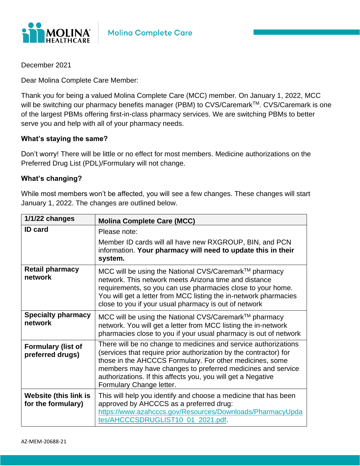

December 2021

Dear Molina Complete Care Member:

Thank you for being a valued Molina Complete Care (MCC) member. On January 1, 2022, MCC will be switching our pharmacy benefits manager (PBM) to CVS/Caremark™. CVS/Caremark is one of the largest PBMs offering first-in-class pharmacy services. We are switching PBMs to better serve you and help with all of your pharmacy needs.

## **What's staying the same?**

Don't worry! There will be little or no effect for most members. Medicine authorizations on the Preferred Drug List (PDL)/Formulary will not change.

## **What's changing?**

While most members won't be affected, you will see a few changes. These changes will start January 1, 2022. The changes are outlined below.

| 1/1/22 changes                                     | <b>Molina Complete Care (MCC)</b>                                                                                                                                                                                                                                                                                                                           |
|----------------------------------------------------|-------------------------------------------------------------------------------------------------------------------------------------------------------------------------------------------------------------------------------------------------------------------------------------------------------------------------------------------------------------|
| <b>ID</b> card                                     | Please note:                                                                                                                                                                                                                                                                                                                                                |
|                                                    | Member ID cards will all have new RXGROUP, BIN, and PCN<br>information. Your pharmacy will need to update this in their<br>system.                                                                                                                                                                                                                          |
| <b>Retail pharmacy</b><br>network                  | MCC will be using the National CVS/Caremark™ pharmacy<br>network. This network meets Arizona time and distance<br>requirements, so you can use pharmacies close to your home.<br>You will get a letter from MCC listing the in-network pharmacies<br>close to you if your usual pharmacy is out of network                                                  |
| <b>Specialty pharmacy</b><br>network               | MCC will be using the National CVS/Caremark™ pharmacy<br>network. You will get a letter from MCC listing the in-network<br>pharmacies close to you if your usual pharmacy is out of network                                                                                                                                                                 |
| <b>Formulary (list of</b><br>preferred drugs)      | There will be no change to medicines and service authorizations<br>(services that require prior authorization by the contractor) for<br>those in the AHCCCS Formulary. For other medicines, some<br>members may have changes to preferred medicines and service<br>authorizations. If this affects you, you will get a Negative<br>Formulary Change letter. |
| <b>Website (this link is</b><br>for the formulary) | This will help you identify and choose a medicine that has been<br>approved by AHCCCS as a preferred drug:<br>https://www.azahcccs.gov/Resources/Downloads/PharmacyUpda<br>tes/AHCCCSDRUGLIST10_01_2021.pdf.                                                                                                                                                |